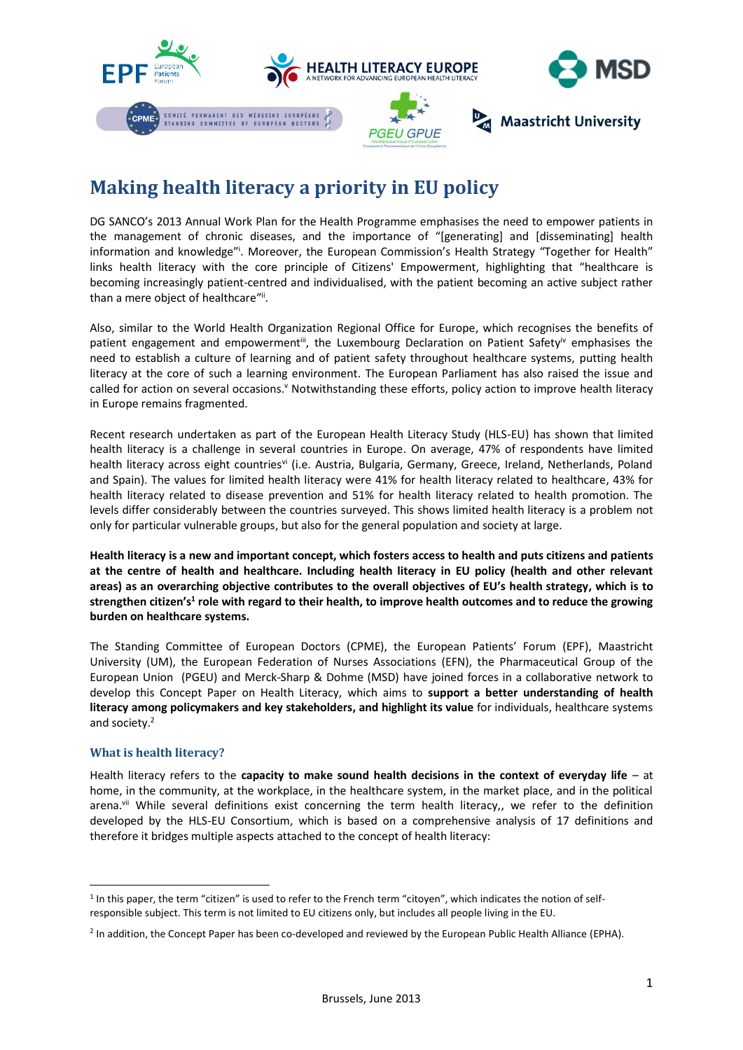

# **Making health literacy a priority in EU policy**

DG SANCO's 2013 Annual Work Plan for the Health Programme emphasises the need to empower patients in the management of chronic diseases, and the importance of "[generating] and [disseminating] health information and knowledge"<sup>i</sup>. Moreover, the European Commission's Health Strategy "Together for Health" links health literacy with the core principle of Citizens' Empowerment, highlighting that "healthcare is becoming increasingly patient-centred and individualised, with the patient becoming an active subject rather than a mere object of healthcare"i.

Also, similar to the World Health Organization Regional Office for Europe, which recognises the benefits of patient engagement and empowerment<sup>iii</sup>, the Luxembourg Declaration on Patient Safety<sup>iv</sup> emphasises the need to establish a culture of learning and of patient safety throughout healthcare systems, putting health literacy at the core of such a learning environment. The European Parliament has also raised the issue and called for action on several occasions.<sup>v</sup> Notwithstanding these efforts, policy action to improve health literacy in Europe remains fragmented.

Recent research undertaken as part of the European Health Literacy Study (HLS-EU) has shown that limited health literacy is a challenge in several countries in Europe. On average, 47% of respondents have limited health literacy across eight countriesvi (i.e. Austria, Bulgaria, Germany, Greece, Ireland, Netherlands, Poland and Spain). The values for limited health literacy were 41% for health literacy related to healthcare, 43% for health literacy related to disease prevention and 51% for health literacy related to health promotion. The levels differ considerably between the countries surveyed. This shows limited health literacy is a problem not only for particular vulnerable groups, but also for the general population and society at large.

**Health literacy is a new and important concept, which fosters access to health and puts citizens and patients at the centre of health and healthcare. Including health literacy in EU policy (health and other relevant areas) as an overarching objective contributes to the overall objectives of EU's health strategy, which is to strengthen citizen's<sup>1</sup> role with regard to their health, to improve health outcomes and to reduce the growing burden on healthcare systems.** 

The Standing Committee of European Doctors (CPME), the European Patients' Forum (EPF), Maastricht University (UM), the European Federation of Nurses Associations (EFN), the Pharmaceutical Group of the European Union (PGEU) and Merck-Sharp & Dohme (MSD) have joined forces in a collaborative network to develop this Concept Paper on Health Literacy, which aims to **support a better understanding of health literacy among policymakers and key stakeholders, and highlight its value** for individuals, healthcare systems and society.<sup>2</sup>

## **What is health literacy?**

 $\overline{a}$ 

Health literacy refers to the **capacity to make sound health decisions in the context of everyday life** – at home, in the community, at the workplace, in the healthcare system, in the market place, and in the political arena.vii While several definitions exist concerning the term health literacy,, we refer to the definition developed by the HLS-EU Consortium, which is based on a comprehensive analysis of 17 definitions and therefore it bridges multiple aspects attached to the concept of health literacy:

<sup>&</sup>lt;sup>1</sup> In this paper, the term "citizen" is used to refer to the French term "citoyen", which indicates the notion of selfresponsible subject. This term is not limited to EU citizens only, but includes all people living in the EU.

<sup>&</sup>lt;sup>2</sup> In addition, the Concept Paper has been co-developed and reviewed by the European Public Health Alliance (EPHA).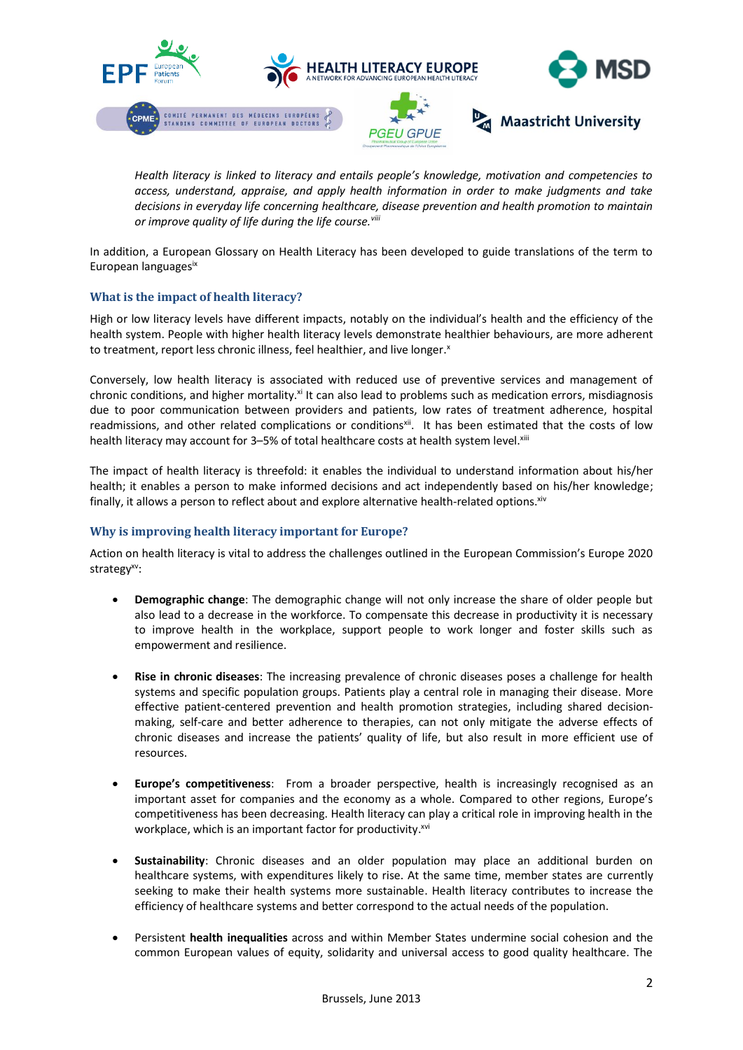

*Health literacy is linked to literacy and entails people's knowledge, motivation and competencies to access, understand, appraise, and apply health information in order to make judgments and take decisions in everyday life concerning healthcare, disease prevention and health promotion to maintain or improve quality of life during the life course.viii*

In addition, a European Glossary on Health Literacy has been developed to guide translations of the term to European languagesix

## **What is the impact of health literacy?**

High or low literacy levels have different impacts, notably on the individual's health and the efficiency of the health system. People with higher health literacy levels demonstrate healthier behaviours, are more adherent to treatment, report less chronic illness, feel healthier, and live longer.<sup>x</sup>

Conversely, low health literacy is associated with reduced use of preventive services and management of chronic conditions, and higher mortality.<sup>xi</sup> It can also lead to problems such as medication errors, misdiagnosis due to poor communication between providers and patients, low rates of treatment adherence, hospital readmissions, and other related complications or conditions<sup>xii</sup>. It has been estimated that the costs of low health literacy may account for 3-5% of total healthcare costs at health system level. Xili

The impact of health literacy is threefold: it enables the individual to understand information about his/her health; it enables a person to make informed decisions and act independently based on his/her knowledge; finally, it allows a person to reflect about and explore alternative health-related options. Xiv

#### **Why is improving health literacy important for Europe?**

Action on health literacy is vital to address the challenges outlined in the European Commission's Europe 2020 strategy<sup>xv</sup>:

- **Demographic change**: The demographic change will not only increase the share of older people but also lead to a decrease in the workforce. To compensate this decrease in productivity it is necessary to improve health in the workplace, support people to work longer and foster skills such as empowerment and resilience.
- **Rise in chronic diseases**: The increasing prevalence of chronic diseases poses a challenge for health systems and specific population groups. Patients play a central role in managing their disease. More effective patient-centered prevention and health promotion strategies, including shared decisionmaking, self-care and better adherence to therapies, can not only mitigate the adverse effects of chronic diseases and increase the patients' quality of life, but also result in more efficient use of resources.
- **Europe's competitiveness**: From a broader perspective, health is increasingly recognised as an important asset for companies and the economy as a whole. Compared to other regions, Europe's competitiveness has been decreasing. Health literacy can play a critical role in improving health in the workplace, which is an important factor for productivity.<sup>xvi</sup>
- **Sustainability**: Chronic diseases and an older population may place an additional burden on healthcare systems, with expenditures likely to rise. At the same time, member states are currently seeking to make their health systems more sustainable. Health literacy contributes to increase the efficiency of healthcare systems and better correspond to the actual needs of the population.
- Persistent **health inequalities** across and within Member States undermine social cohesion and the common European values of equity, solidarity and universal access to good quality healthcare. The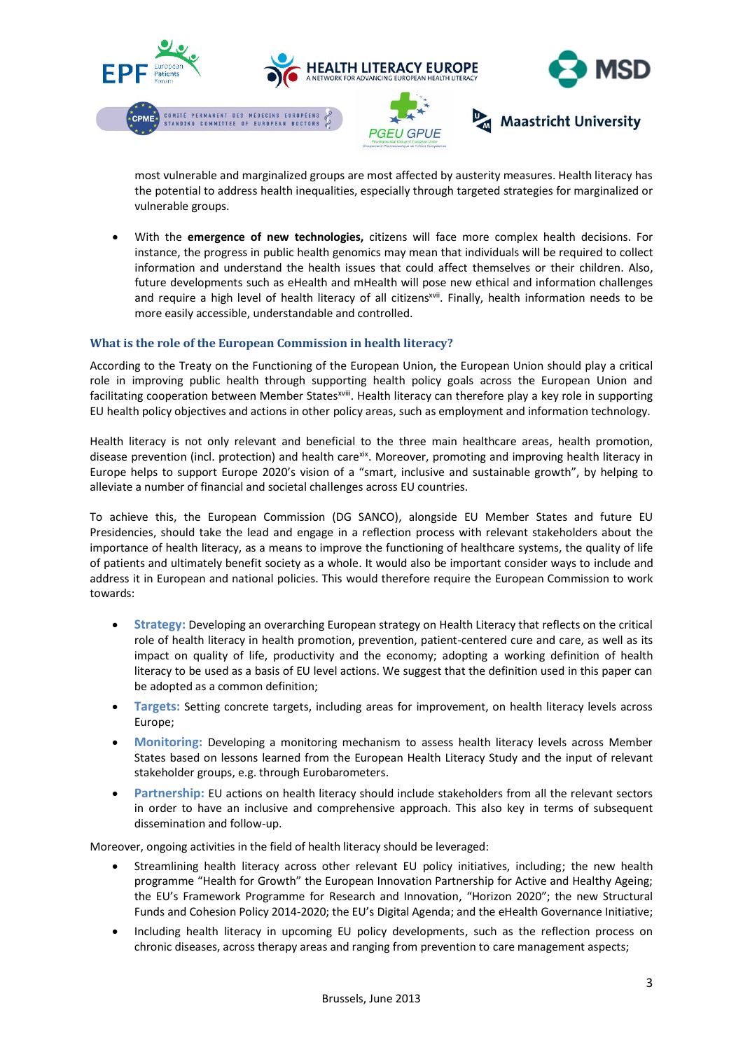

most vulnerable and marginalized groups are most affected by austerity measures. Health literacy has the potential to address health inequalities, especially through targeted strategies for marginalized or vulnerable groups.

 With the **emergence of new technologies,** citizens will face more complex health decisions. For instance, the progress in public health genomics may mean that individuals will be required to collect information and understand the health issues that could affect themselves or their children. Also, future developments such as eHealth and mHealth will pose new ethical and information challenges and require a high level of health literacy of all citizens<sup>xvii</sup>. Finally, health information needs to be more easily accessible, understandable and controlled.

## **What is the role of the European Commission in health literacy?**

According to the Treaty on the Functioning of the European Union, the European Union should play a critical role in improving public health through supporting health policy goals across the European Union and facilitating cooperation between Member States<sup>xviii</sup>. Health literacy can therefore play a key role in supporting EU health policy objectives and actions in other policy areas, such as employment and information technology.

Health literacy is not only relevant and beneficial to the three main healthcare areas, health promotion, disease prevention (incl. protection) and health care<sup>xix</sup>. Moreover, promoting and improving health literacy in Europe helps to support Europe 2020's vision of a "smart, inclusive and sustainable growth", by helping to alleviate a number of financial and societal challenges across EU countries.

To achieve this, the European Commission (DG SANCO), alongside EU Member States and future EU Presidencies, should take the lead and engage in a reflection process with relevant stakeholders about the importance of health literacy, as a means to improve the functioning of healthcare systems, the quality of life of patients and ultimately benefit society as a whole. It would also be important consider ways to include and address it in European and national policies. This would therefore require the European Commission to work towards:

- **Strategy:** Developing an overarching European strategy on Health Literacy that reflects on the critical role of health literacy in health promotion, prevention, patient-centered cure and care, as well as its impact on quality of life, productivity and the economy; adopting a working definition of health literacy to be used as a basis of EU level actions. We suggest that the definition used in this paper can be adopted as a common definition;
- **Targets:** Setting concrete targets, including areas for improvement, on health literacy levels across Europe;
- **Monitoring:** Developing a monitoring mechanism to assess health literacy levels across Member States based on lessons learned from the European Health Literacy Study and the input of relevant stakeholder groups, e.g. through Eurobarometers.
- **Partnership:** EU actions on health literacy should include stakeholders from all the relevant sectors in order to have an inclusive and comprehensive approach. This also key in terms of subsequent dissemination and follow-up.

Moreover, ongoing activities in the field of health literacy should be leveraged:

- Streamlining health literacy across other relevant EU policy initiatives, including; the new health programme "Health for Growth" the European Innovation Partnership for Active and Healthy Ageing; the EU's Framework Programme for Research and Innovation, "Horizon 2020"; the new Structural Funds and Cohesion Policy 2014-2020; the EU's Digital Agenda; and the eHealth Governance Initiative;
- Including health literacy in upcoming EU policy developments, such as the reflection process on chronic diseases, across therapy areas and ranging from prevention to care management aspects;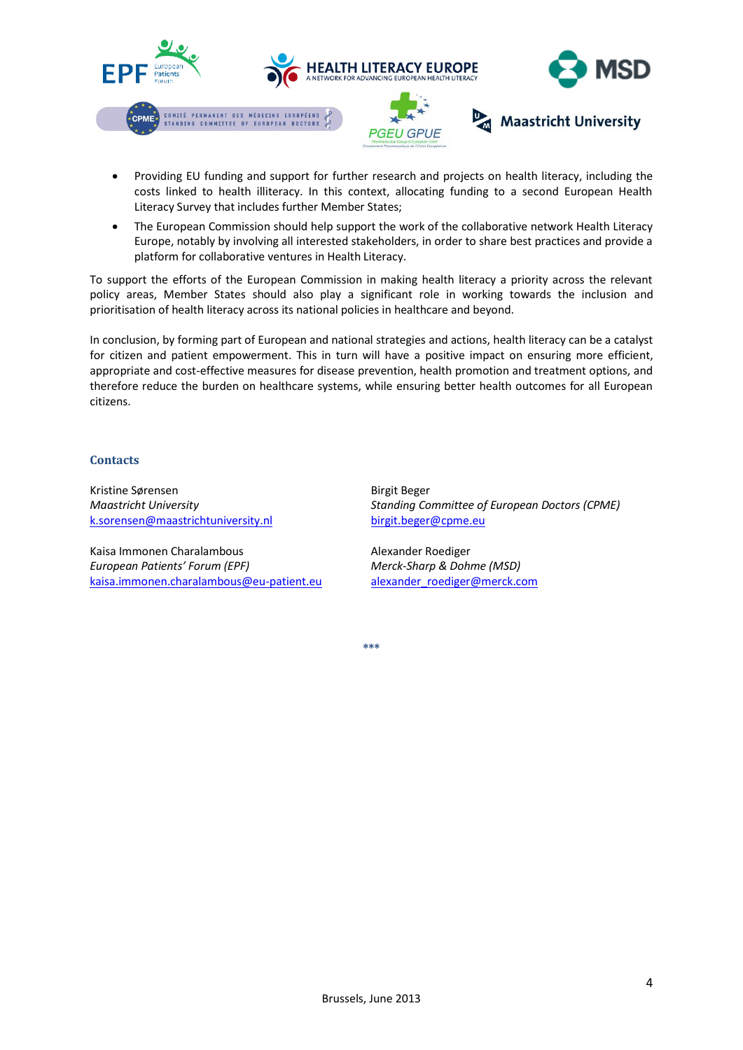

- Providing EU funding and support for further research and projects on health literacy, including the costs linked to health illiteracy. In this context, allocating funding to a second European Health Literacy Survey that includes further Member States;
- The European Commission should help support the work of the collaborative network Health Literacy Europe, notably by involving all interested stakeholders, in order to share best practices and provide a platform for collaborative ventures in Health Literacy.

To support the efforts of the European Commission in making health literacy a priority across the relevant policy areas, Member States should also play a significant role in working towards the inclusion and prioritisation of health literacy across its national policies in healthcare and beyond.

In conclusion, by forming part of European and national strategies and actions, health literacy can be a catalyst for citizen and patient empowerment. This in turn will have a positive impact on ensuring more efficient, appropriate and cost-effective measures for disease prevention, health promotion and treatment options, and therefore reduce the burden on healthcare systems, while ensuring better health outcomes for all European citizens.

#### **Contacts**

Kristine Sørensen *Maastricht University* [k.sorensen@maastrichtuniversity.nl](mailto:k.sorensen@maastrichtuniversity.nl)

Kaisa Immonen Charalambous *European Patients' Forum (EPF)* [kaisa.immonen.charalambous@eu-patient.eu](mailto:kaisa.immonen.charalambous@eu-patient.eu) Birgit Beger *Standing Committee of European Doctors (CPME)* [birgit.beger@cpme.eu](mailto:birgit.beger@cpme.eu)

Alexander Roediger *Merck-Sharp & Dohme (MSD)* [alexander\\_roediger@merck.com](mailto:alexander_roediger@merck.com)

**\*\*\***